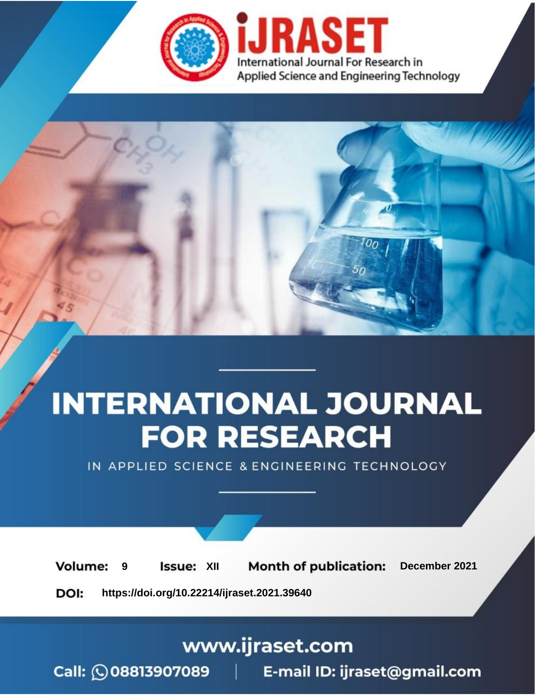



IN APPLIED SCIENCE & ENGINEERING TECHNOLOGY

**9 Issue:** XII **Month of publication:** December 2021 **Volume: https://doi.org/10.22214/ijraset.2021.39640**DOI:

www.ijraset.com

Call: 008813907089 | E-mail ID: ijraset@gmail.com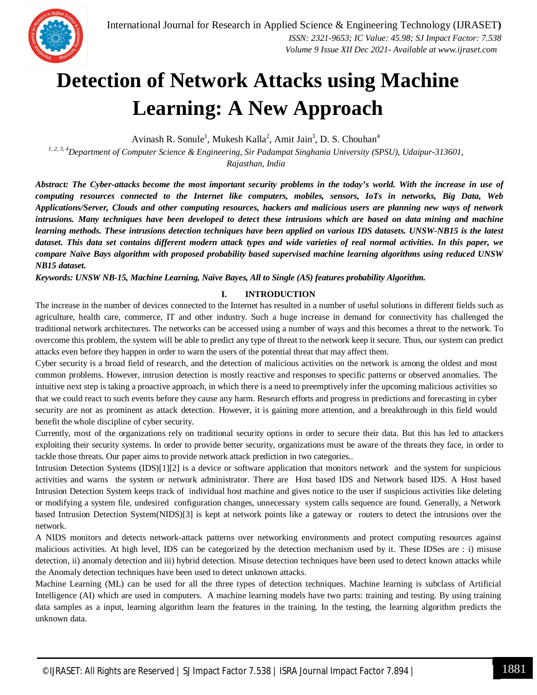

# **Detection of Network Attacks using Machine Learning: A New Approach**

Avinash R. Sonule<sup>1</sup>, Mukesh Kalla<sup>2</sup>, Amit Jain<sup>3</sup>, D. S. Chouhan<sup>4</sup>

*1, 2, 3, 4Department of Computer Science & Engineering, Sir Padampat Singhania University (SPSU), Udaipur-313601, Rajasthan, India*

*Abstract: The Cyber-attacks become the most important security problems in the today's world. With the increase in use of computing resources connected to the Internet like computers, mobiles, sensors, IoTs in networks, Big Data, Web Applications/Server, Clouds and other computing resources, hackers and malicious users are planning new ways of network intrusions. Many techniques have been developed to detect these intrusions which are based on data mining and machine learning methods. These intrusions detection techniques have been applied on various IDS datasets. UNSW-NB15 is the latest dataset. This data set contains different modern attack types and wide varieties of real normal activities. In this paper, we compare Naïve Bays algorithm with proposed probability based supervised machine learning algorithms using reduced UNSW NB15 dataset.*

*Keywords: UNSW NB-15, Machine Learning, Naïve Bayes, All to Single (AS) features probability Algorithm.*

# **I. INTRODUCTION**

The increase in the number of devices connected to the Internet has resulted in a number of useful solutions in different fields such as agriculture, health care, commerce, IT and other industry. Such a huge increase in demand for connectivity has challenged the traditional network architectures. The networks can be accessed using a number of ways and this becomes a threat to the network. To overcome this problem, the system will be able to predict any type of threat to the network keep it secure. Thus, our system can predict attacks even before they happen in order to warn the users of the potential threat that may affect them.

Cyber security is a broad field of research, and the detection of malicious activities on the network is among the oldest and most common problems. However, intrusion detection is mostly reactive and responses to specific patterns or observed anomalies. The intuitive next step is taking a proactive approach, in which there is a need to preemptively infer the upcoming malicious activities so that we could react to such events before they cause any harm. Research efforts and progress in predictions and forecasting in cyber security are not as prominent as attack detection. However, it is gaining more attention, and a breakthrough in this field would benefit the whole discipline of cyber security.

Currently, most of the organizations rely on traditional security options in order to secure their data. But this has led to attackers exploiting their security systems. In order to provide better security, organizations must be aware of the threats they face, in order to tackle those threats. Our paper aims to provide network attack prediction in two categories..

Intrusion Detection Systems (IDS)[1][2] is a device or software application that monitors network and the system for suspicious activities and warns the system or network administrator. There are Host based IDS and Network based IDS. A Host based Intrusion Detection System keeps track of individual host machine and gives notice to the user if suspicious activities like deleting or modifying a system file, undesired configuration changes, unnecessary system calls sequence are found. Generally, a Network based Intrusion Detection System(NIDS)[3] is kept at network points like a gateway or routers to detect the intrusions over the network.

A NIDS monitors and detects network-attack patterns over networking environments and protect computing resources against malicious activities. At high level, IDS can be categorized by the detection mechanism used by it. These IDSes are : i) misuse detection, ii) anomaly detection and iii) hybrid detection. Misuse detection techniques have been used to detect known attacks while the Anomaly detection techniques have been used to detect unknown attacks.

Machine Learning (ML) can be used for all the three types of detection techniques. Machine learning is subclass of Artificial Intelligence (AI) which are used in computers. A machine learning models have two parts: training and testing. By using training data samples as a input, learning algorithm learn the features in the training. In the testing, the learning algorithm predicts the unknown data.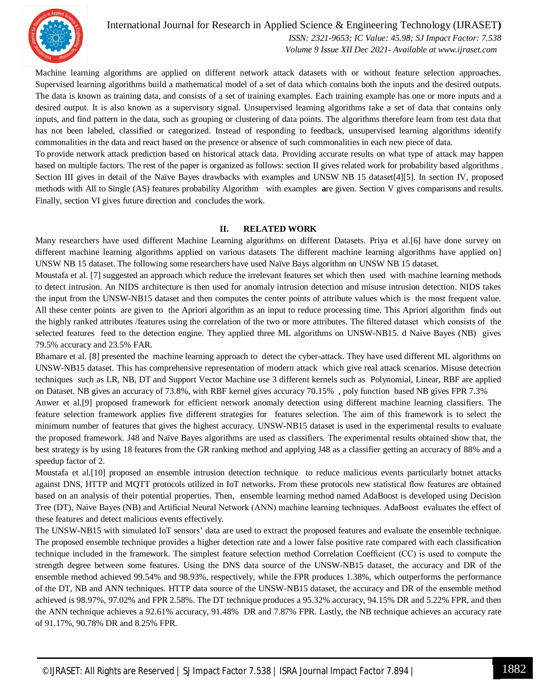

International Journal for Research in Applied Science & Engineering Technology (IJRASET**)**  *ISSN: 2321-9653; IC Value: 45.98; SJ Impact Factor: 7.538 Volume 9 Issue XII Dec 2021- Available at www.ijraset.com*

Machine learning algorithms are applied on different network attack datasets with or without feature selection approaches. Supervised learning algorithms build a mathematical model of a set of data which contains both the inputs and the desired outputs. The data is known as training data, and consists of a set of training examples. Each training example has one or more inputs and a desired output. It is also known as a supervisory signal. Unsupervised learning algorithms take a set of data that contains only inputs, and find pattern in the data, such as grouping or clustering of data points. The algorithms therefore learn from test data that has not been labeled, classified or categorized. Instead of responding to feedback, unsupervised learning algorithms identify commonalities in the data and react based on the presence or absence of such commonalities in each new piece of data.

To provide network attack prediction based on historical attack data. Providing accurate results on what type of attack may happen based on multiple factors. The rest of the paper is organized as follows: section II gives related work for probability based algorithms . Section III gives in detail of the Naïve Bayes drawbacks with examples and UNSW NB 15 dataset[4][5]. In section IV, proposed methods with All to Single (AS) features probability Algorithm with examples **a**re given. Section V gives comparisons and results. Finally, section VI gives future direction and concludes the work.

#### **II. RELATED WORK**

Many researchers have used different Machine Learning algorithms on different Datasets. Priya et al.[6] have done survey on different machine learning algorithms applied on various datasets The different machine learning algorithms have applied on] UNSW NB 15 dataset. The following some researchers have used Naïve Bays algorithm on UNSW NB 15 dataset.

Moustafa et al. [7] suggested an approach which reduce the irrelevant features set which then used with machine learning methods to detect intrusion. An NIDS architecture is then used for anomaly intrusion detection and misuse intrusion detection. NIDS takes the input from the UNSW-NB15 dataset and then computes the center points of attribute values which is the most frequent value. All these center points are given to the Apriori algorithm as an input to reduce processing time. This Apriori algorithm finds out the highly ranked attributes /features using the correlation of the two or more attributes. The filtered dataset which consists of the selected features feed to the detection engine. They applied three ML algorithms on UNSW-NB15. d Naive Bayes (NB) gives 79.5% accuracy and 23.5% FAR.

Bhamare et al. [8] presented the machine learning approach to detect the cyber-attack. They have used different ML algorithms on UNSW-NB15 dataset. This has comprehensive representation of modern attack which give real attack scenarios. Misuse detection techniques such as LR, NB, DT and Support Vector Machine use 3 different kernels such as Polynomial, Linear, RBF are applied on Dataset. NB gives an accuracy of 73.8%, with RBF kernel gives accuracy 70.15% , poly function based NB gives FPR 7.3%

Anwer et al.[9] proposed framework for efficient network anomaly detection using different machine learning classifiers. The feature selection framework applies five different strategies for features selection. The aim of this framework is to select the minimum number of features that gives the highest accuracy. UNSW-NB15 dataset is used in the experimental results to evaluate the proposed framework. J48 and Naïve Bayes algorithms are used as classifiers. The experimental results obtained show that, the best strategy is by using 18 features from the GR ranking method and applying J48 as a classifier getting an accuracy of 88% and a speedup factor of 2.

Moustafa et al.[10] proposed an ensemble intrusion detection technique to reduce malicious events particularly botnet attacks against DNS, HTTP and MQTT protocols utilized in IoT networks. From these protocols new statistical flow features are obtained based on an analysis of their potential properties. Then, ensemble learning method named AdaBoost is developed using Decision Tree (DT), Naive Bayes (NB) and Artificial Neural Network (ANN) machine learning techniques. AdaBoost evaluates the effect of these features and detect malicious events effectively.

The UNSW-NB15 with simulated IoT sensors' data are used to extract the proposed features and evaluate the ensemble technique. The proposed ensemble technique provides a higher detection rate and a lower false positive rate compared with each classification technique included in the framework. The simplest feature selection method Correlation Coefficient (CC) is used to compute the strength degree between some features. Using the DNS data source of the UNSW-NB15 dataset, the accuracy and DR of the ensemble method achieved 99.54% and 98.93%, respectively, while the FPR produces 1.38%, which outperforms the performance of the DT, NB and ANN techniques. HTTP data source of the UNSW-NB15 dataset, the accuracy and DR of the ensemble method achieved is 98.97%, 97.02% and FPR 2.58%. The DT technique produces a 95.32% accuracy, 94.15% DR and 5.22% FPR, and then the ANN technique achieves a 92.61% accuracy, 91.48% DR and 7.87% FPR. Lastly, the NB technique achieves an accuracy rate of 91.17%, 90.78% DR and 8.25% FPR.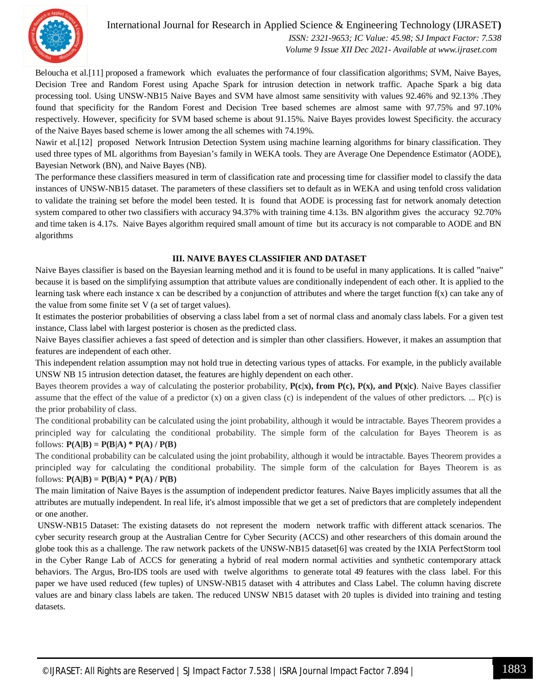

Beloucha et al.[11] proposed a framework which evaluates the performance of four classification algorithms; SVM, Naive Bayes, Decision Tree and Random Forest using Apache Spark for intrusion detection in network traffic. Apache Spark a big data processing tool. Using UNSW-NB15 Naive Bayes and SVM have almost same sensitivity with values 92.46% and 92.13% .They found that specificity for the Random Forest and Decision Tree based schemes are almost same with 97.75% and 97.10% respectively. However, specificity for SVM based scheme is about 91.15%. Naive Bayes provides lowest Specificity. the accuracy of the Naive Bayes based scheme is lower among the all schemes with 74.19%.

Nawir et al.[12] proposed Network Intrusion Detection System using machine learning algorithms for binary classification. They used three types of ML algorithms from Bayesian's family in WEKA tools. They are Average One Dependence Estimator (AODE), Bayesian Network (BN), and Naive Bayes (NB).

The performance these classifiers measured in term of classification rate and processing time for classifier model to classify the data instances of UNSW-NB15 dataset. The parameters of these classifiers set to default as in WEKA and using tenfold cross validation to validate the training set before the model been tested. It is found that AODE is processing fast for network anomaly detection system compared to other two classifiers with accuracy 94.37% with training time 4.13s. BN algorithm gives the accuracy 92.70% and time taken is 4.17s. Naive Bayes algorithm required small amount of time but its accuracy is not comparable to AODE and BN algorithms

# **III. NAIVE BAYES CLASSIFIER AND DATASET**

Naive Bayes classifier is based on the Bayesian learning method and it is found to be useful in many applications. It is called "naive" because it is based on the simplifying assumption that attribute values are conditionally independent of each other. It is applied to the learning task where each instance x can be described by a conjunction of attributes and where the target function f(x) can take any of the value from some finite set V (a set of target values).

It estimates the posterior probabilities of observing a class label from a set of normal class and anomaly class labels. For a given test instance, Class label with largest posterior is chosen as the predicted class.

Naive Bayes classifier achieves a fast speed of detection and is simpler than other classifiers. However, it makes an assumption that features are independent of each other.

This independent relation assumption may not hold true in detecting various types of attacks. For example, in the publicly available UNSW NB 15 intrusion detection dataset, the features are highly dependent on each other.

Bayes theorem provides a way of calculating the posterior probability, **P(c|x), from P(c), P(x), and P(x|c)**. Naive Bayes classifier assume that the effect of the value of a predictor  $(x)$  on a given class  $(c)$  is independent of the values of other predictors. ...  $P(c)$  is the prior probability of class.

The conditional probability can be calculated using the joint probability, although it would be intractable. Bayes Theorem provides a principled way for calculating the conditional probability. The simple form of the calculation for Bayes Theorem is as follows:  $P(A|B) = P(B|A) * P(A) / P(B)$ 

The conditional probability can be calculated using the joint probability, although it would be intractable. Bayes Theorem provides a principled way for calculating the conditional probability. The simple form of the calculation for Bayes Theorem is as follows:  $P(A|B) = P(B|A) * P(A) / P(B)$ 

The main limitation of Naive Bayes is the assumption of independent predictor features. Naive Bayes implicitly assumes that all the attributes are mutually independent. In real life, it's almost impossible that we get a set of predictors that are completely independent or one another.

UNSW-NB15 Dataset: The existing datasets do not represent the modern network traffic with different attack scenarios. The cyber security research group at the Australian Centre for Cyber Security (ACCS) and other researchers of this domain around the globe took this as a challenge. The raw network packets of the UNSW-NB15 dataset[6] was created by the IXIA PerfectStorm tool in the Cyber Range Lab of ACCS for generating a hybrid of real modern normal activities and synthetic contemporary attack behaviors. The Argus, Bro-IDS tools are used with twelve algorithms to generate total 49 features with the class label. For this paper we have used reduced (few tuples) of UNSW-NB15 dataset with 4 attributes and Class Label. The column having discrete values are and binary class labels are taken. The reduced UNSW NB15 dataset with 20 tuples is divided into training and testing datasets.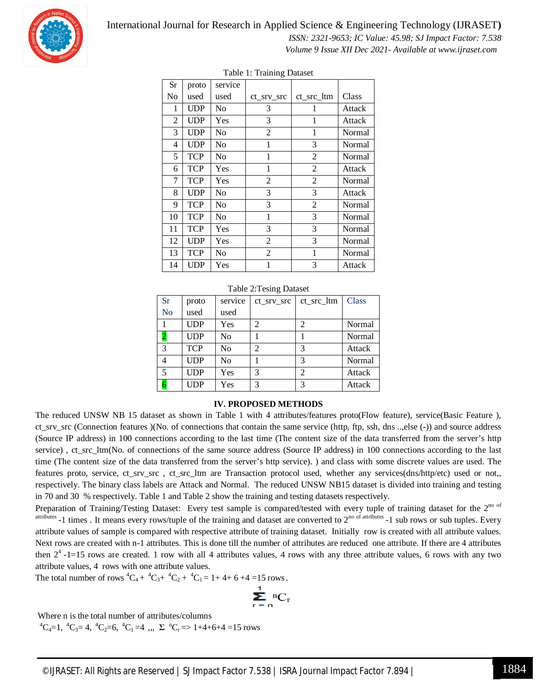

 *ISSN: 2321-9653; IC Value: 45.98; SJ Impact Factor: 7.538 Volume 9 Issue XII Dec 2021- Available at www.ijraset.com*

| rable 1. Framing Dataset |            |                |                |                |        |
|--------------------------|------------|----------------|----------------|----------------|--------|
| Sr                       | proto      | service        |                |                |        |
| No                       | used       | used           | ct_srv_src     | ct src ltm     | Class  |
| 1                        | <b>UDP</b> | No             | 3              | 1              | Attack |
| 2                        | <b>UDP</b> | Yes            | 3              | 1              | Attack |
| 3                        | <b>UDP</b> | No             | $\overline{2}$ | 1              | Normal |
| 4                        | <b>UDP</b> | No             | 1              | 3              | Normal |
| 5                        | TCP        | N <sub>0</sub> | 1              | 2              | Normal |
| 6                        | <b>TCP</b> | Yes            | 1              | $\overline{2}$ | Attack |
| 7                        | <b>TCP</b> | Yes            | 2              | $\overline{2}$ | Normal |
| 8                        | <b>UDP</b> | No             | 3              | 3              | Attack |
| 9                        | TCP        | No             | 3              | 2              | Normal |
| 10                       | TCP        | No             | 1              | 3              | Normal |
| 11                       | <b>TCP</b> | Yes            | 3              | 3              | Normal |
| 12                       | <b>UDP</b> | Yes            | $\overline{2}$ | 3              | Normal |
| 13                       | TCP        | No             | $\overline{2}$ | 1              | Normal |
| 14                       | <b>UDP</b> | Yes            | 1              | 3              | Attack |

Table 1: Training Dataset

#### Table 2:Tesing Dataset

| Sr | proto      | service | ct srv src | ct_src_ltm | <b>Class</b> |
|----|------------|---------|------------|------------|--------------|
| No | used       | used    |            |            |              |
|    | <b>UDP</b> | Yes     | 2          | 2          | Normal       |
|    | <b>UDP</b> | No      |            |            | Normal       |
| 3  | <b>TCP</b> | No      | 2          | 3          | Attack       |
| 4  | <b>UDP</b> | No      |            | 3          | Normal       |
| 5  | <b>UDP</b> | Yes     | 3          | 2          | Attack       |
|    | <b>UDP</b> | Yes     | 3          | 3          | Attack       |

#### **IV. PROPOSED METHODS**

The reduced UNSW NB 15 dataset as shown in Table 1 with 4 attributes/features proto(Flow feature), service(Basic Feature ), ct\_srv\_src (Connection features )(No. of connections that contain the same service (http, ftp, ssh, dns ..,else (-)) and source address (Source IP address) in 100 connections according to the last time (The content size of the data transferred from the server's http service), ct\_src\_ltm(No. of connections of the same source address (Source IP address) in 100 connections according to the last time (The content size of the data transferred from the server's http service). ) and class with some discrete values are used. The features proto, service, ct\_srv\_src , ct\_src\_ltm are Transaction protocol used, whether any services(dns/http/etc) used or not,, respectively. The binary class labels are Attack and Normal. The reduced UNSW NB15 dataset is divided into training and testing in 70 and 30 % respectively. Table 1 and Table 2 show the training and testing datasets respectively.

Preparation of Training/Testing Dataset: Every test sample is compared/tested with every tuple of training dataset for the 2<sup>no of</sup> attributes -1 times. It means every rows/tuple of the training and dataset are converted to 2<sup>no of attributes</sup> -1 sub rows or sub tuples. Every attribute values of sample is compared with respective attribute of training dataset. Initially row is created with all attribute values. Next rows are created with n-1 attributes. This is done till the number of attributes are reduced one attribute. If there are 4 attributes then  $2^4$ -1=15 rows are created. 1 row with all 4 attributes values, 4 rows with any three attribute values, 6 rows with any two attribute values, 4 rows with one attribute values.

The total number of rows  ${}^{4}C_{4} + {}^{4}C_{3} + {}^{4}C_{2} + {}^{4}C_{1} = 1 + 4 + 6 + 4 = 15$  rows.

$$
\sum_{r=n}^{1} {}^{n}C_{r}
$$

Where n is the total number of attributes/columns

 ${}^{4}C_{4}=1, {}^{4}C_{3}=4, {}^{4}C_{2}=6, {}^{4}C_{1}=4, \ldots \Sigma \ {}^{n}C_{r} \Longrightarrow 1+4+6+4=15 \text{ rows}$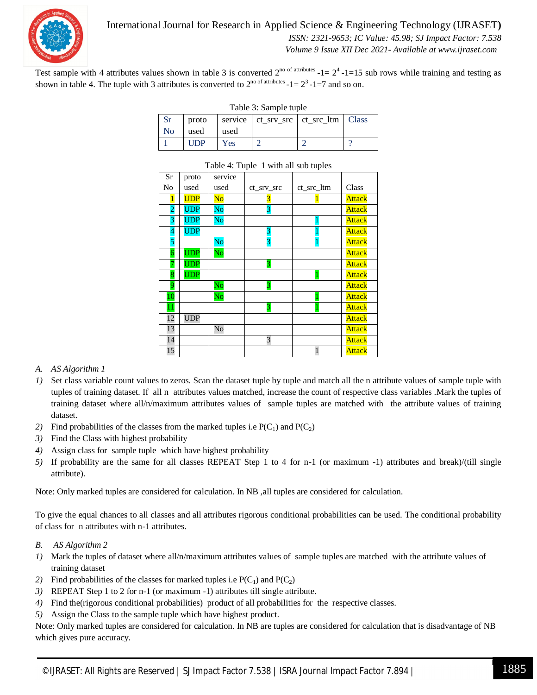

Test sample with 4 attributes values shown in table 3 is converted  $2^{no}$  of attributes  $-1=2^4$  -1=15 sub rows while training and testing as shown in table 4. The tuple with 3 attributes is converted to  $2^{no \text{ of attributes}}$  -1= $2^3$ -1=7 and so on.

| Table 3: Sample tuple |            |      |  |                                           |  |  |  |
|-----------------------|------------|------|--|-------------------------------------------|--|--|--|
| Sr                    | proto      |      |  | service   ct_srv_src   ct_src_ltm   Class |  |  |  |
| No                    | used       | used |  |                                           |  |  |  |
|                       | <b>UDP</b> | Yes  |  |                                           |  |  |  |

| $1400$ $\sigma$ $1400$ $\sigma$ $1400$ $\sigma$ $1400$ $\sigma$ |            |                        |            |            |               |
|-----------------------------------------------------------------|------------|------------------------|------------|------------|---------------|
| Sr                                                              | proto      | service                |            |            |               |
| N <sub>o</sub>                                                  | used       | used                   | ct_srv_src | ct_src_ltm | Class         |
| 1                                                               | <b>UDP</b> | $\overline{\text{No}}$ | 3          |            | <b>Attack</b> |
| 2                                                               | <b>UDP</b> | No                     | 3          |            | Attack        |
| 3                                                               | <b>UDP</b> | $\overline{\text{No}}$ |            |            | Attack        |
| 4                                                               | <b>UDP</b> |                        | 3          |            | Attack        |
| 5                                                               |            | No                     | 3          |            | Attack        |
| $\boldsymbol{6}$                                                | <b>UDP</b> | $\mathbf{No}$          |            |            | Attack        |
|                                                                 | <b>UDP</b> |                        | 3          |            | <b>Attack</b> |
| 8                                                               | <b>UDP</b> |                        |            |            | Attack        |
| 9                                                               |            | $\overline{\text{No}}$ | 3          |            | Attack        |
| 10                                                              |            | $\overline{\text{No}}$ |            |            | <b>Attack</b> |
| 11                                                              |            |                        | 3          |            | Attack        |
| 12                                                              | <b>UDP</b> |                        |            |            | <b>Attack</b> |
| 13                                                              |            | No                     |            |            | Attack        |
| 14                                                              |            |                        | 3          |            | Attack        |
| 15                                                              |            |                        |            | 1          | <b>Attack</b> |

#### Table 4: Tuple 1 with all sub tuples

#### *A. AS Algorithm 1*

- *1)* Set class variable count values to zeros. Scan the dataset tuple by tuple and match all the n attribute values of sample tuple with tuples of training dataset. If all n attributes values matched, increase the count of respective class variables .Mark the tuples of training dataset where all/n/maximum attributes values of sample tuples are matched with the attribute values of training dataset.
- 2) Find probabilities of the classes from the marked tuples i.e  $P(C_1)$  and  $P(C_2)$
- *3)* Find the Class with highest probability
- *4)* Assign class for sample tuple which have highest probability
- *5)* If probability are the same for all classes REPEAT Step 1 to 4 for n-1 (or maximum -1) attributes and break)/(till single attribute).

Note: Only marked tuples are considered for calculation. In NB ,all tuples are considered for calculation.

To give the equal chances to all classes and all attributes rigorous conditional probabilities can be used. The conditional probability of class for n attributes with n-1 attributes.

- *B. AS Algorithm 2*
- *1)* Mark the tuples of dataset where all/n/maximum attributes values of sample tuples are matched with the attribute values of training dataset
- *2*) Find probabilities of the classes for marked tuples i.e  $P(C_1)$  and  $P(C_2)$
- *3)* REPEAT Step 1 to 2 for n-1 (or maximum -1) attributes till single attribute.
- *4)* Find the(rigorous conditional probabilities) product of all probabilities for the respective classes.
- *5)* Assign the Class to the sample tuple which have highest product.

Note: Only marked tuples are considered for calculation. In NB are tuples are considered for calculation that is disadvantage of NB which gives pure accuracy.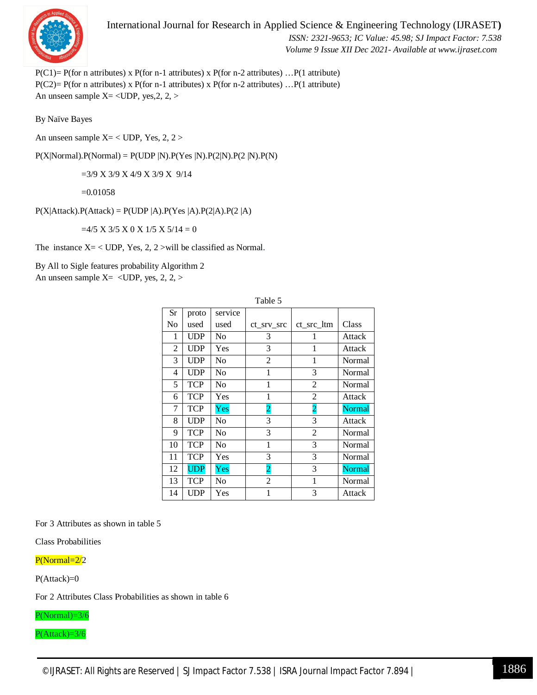

P(C1)= P(for n attributes) x P(for n-1 attributes) x P(for n-2 attributes) ... P(1 attribute) P(C2)= P(for n attributes) x P(for n-1 attributes) x P(for n-2 attributes) ... P(1 attribute) An unseen sample  $X = \langle \text{UDP}, \text{yes}, 2, 2, \rangle$ 

By Naïve Bayes

An unseen sample  $X = \langle$  UDP, Yes, 2, 2 >

 $P(X|Normal)$ . $P(Normal) = P(UDP | N)$ . $P(Yes | N)$ . $P(2|N)$ . $P(2 | N)$ . $P(N)$ 

=3/9 X 3/9 X 4/9 X 3/9 X 9/14

 $=0.01058$ 

 $P(X|Attack).P(Attack) = P(UDP | A).P(Yes | A).P(2|A).P(2 | A)$ 

 $=4/5$  X 3/5 X 0 X 1/5 X 5/14 = 0

The instance  $X = \text{UDP}$ , Yes, 2, 2 > will be classified as Normal.

By All to Sigle features probability Algorithm 2 An unseen sample  $X = \langle \text{UDP}, \text{yes}, 2, 2, \rangle$ 

| raoiv J |            |                |            |            |        |
|---------|------------|----------------|------------|------------|--------|
| Sr      | proto      | service        |            |            |        |
| No      | used       | used           | ct_srv_src | ct src ltm | Class  |
| 1       | UDP        | No             | 3          |            | Attack |
| 2       | <b>UDP</b> | Yes            | 3          | 1          | Attack |
| 3       | <b>UDP</b> | No             | 2          | 1          | Normal |
| 4       | <b>UDP</b> | N <sub>0</sub> | 1          | 3          | Normal |
| 5       | TCP        | No             | 1          | 2          | Normal |
| 6       | TCP        | Yes            | 1          | 2          | Attack |
| 7       | TCP        | Yes            | 2          | 2          | Normal |
| 8       | <b>UDP</b> | No             | 3          | 3          | Attack |
| 9       | TCP        | No             | 3          | 2          | Normal |
| 10      | TCP        | No             | 1          | 3          | Normal |
| 11      | TCP        | Yes            | 3          | 3          | Normal |
| 12      | <b>UDP</b> | Yes            | 2          | 3          | Normal |
| 13      | TCP        | No             | 2          | 1          | Normal |
| 14      | UDP        | Yes            | 1          | 3          | Attack |

Table 5

For 3 Attributes as shown in table 5

Class Probabilities

P(Normal=2/2

P(Attack)=0

For 2 Attributes Class Probabilities as shown in table 6

P(Normal)=3/6

 $P(Attack)=3/6$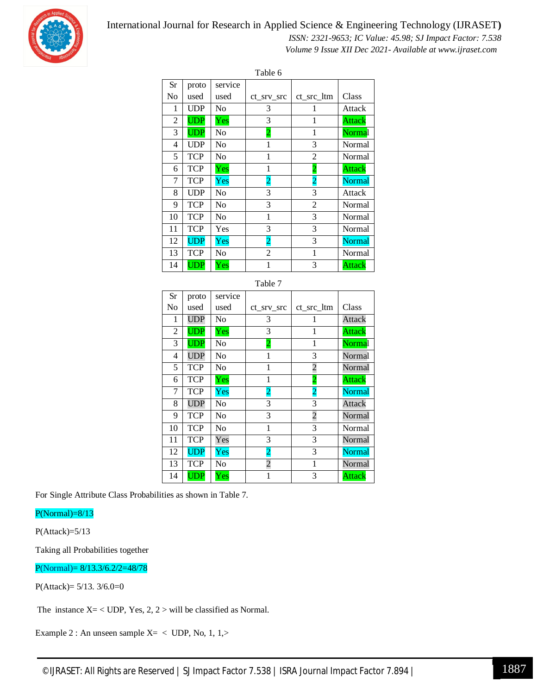

# International Journal for Research in Applied Science & Engineering Technology (IJRASET**)**

 *ISSN: 2321-9653; IC Value: 45.98; SJ Impact Factor: 7.538*

 *Volume 9 Issue XII Dec 2021- Available at www.ijraset.com*

Table 6

|    |            |                | rabie o        |                |               |
|----|------------|----------------|----------------|----------------|---------------|
| Sr | proto      | service        |                |                |               |
| No | used       | used           | ct srv src     | ct src ltm     | Class         |
| 1  | <b>UDP</b> | No             | 3              |                | Attack        |
| 2  | <b>UDP</b> | Yes            | 3              | 1              | Attack        |
| 3  | UDP        | N <sub>0</sub> | 2              | 1              | <b>Normal</b> |
| 4  | <b>UDP</b> | No             | 1              | 3              | Normal        |
| 5  | <b>TCP</b> | No             | 1              | 2              | Normal        |
| 6  | TCP        | Yes            | 1              | 2              | Attack        |
| 7  | <b>TCP</b> | Yes            | 2              | $\overline{2}$ | Normal        |
| 8  | <b>UDP</b> | N <sub>0</sub> | 3              | 3              | Attack        |
| 9  | <b>TCP</b> | No             | 3              | $\overline{2}$ | Normal        |
| 10 | <b>TCP</b> | N <sub>0</sub> | 1              | 3              | Normal        |
| 11 | <b>TCP</b> | Yes            | 3              | 3              | Normal        |
| 12 | <b>UDP</b> | Yes            | 2              | 3              | Normal        |
| 13 | <b>TCP</b> | No             | $\overline{2}$ | 1              | Normal        |
| 14 | UDP        | Yes            | 1              | 3              | Attack        |

#### Table 7

| Sr | proto      | service |                |                |               |
|----|------------|---------|----------------|----------------|---------------|
| No | used       | used    | ct srv src     | ct src ltm     | Class         |
| 1  | UDP        | No      | 3              |                | Attack        |
| 2  | UDP        | Yes     | 3              | 1              | Attack        |
| 3  | UDP        | No      | 2              | 1              | <b>Normal</b> |
| 4  | <b>UDP</b> | No      | 1              | 3              | Normal        |
| 5  | <b>TCP</b> | No      | 1              | $\overline{2}$ | Normal        |
| 6  | <b>TCP</b> | Yes     | 1              | $\bullet$      | Attack        |
| 7  | <b>TCP</b> | Yes     | 2              | 2              | Normal        |
| 8  | UDP        | No      | 3              | 3              | Attack        |
| 9  | <b>TCP</b> | No      | 3              | $\overline{c}$ | Normal        |
| 10 | <b>TCP</b> | No      | 1              | 3              | Normal        |
| 11 | <b>TCP</b> | Yes     | 3              | 3              | Normal        |
| 12 | <b>UDP</b> | Yes     | $\mathbf 2$    | 3              | Normal        |
| 13 | TCP        | No      | $\overline{2}$ | 1              | Normal        |
| 14 | UDP        | Yes     |                | 3              | Attack        |

For Single Attribute Class Probabilities as shown in Table 7.

P(Normal)=8/13

 $P(Attack)=5/13$ 

Taking all Probabilities together

P(Normal)= 8/13.3/6.2/2=48/78

P(Attack)= 5/13. 3/6.0=0

The instance  $X = \text{UDP}$ , Yes, 2, 2  $>$  will be classified as Normal.

Example 2 : An unseen sample X= < UDP, No, 1, 1,>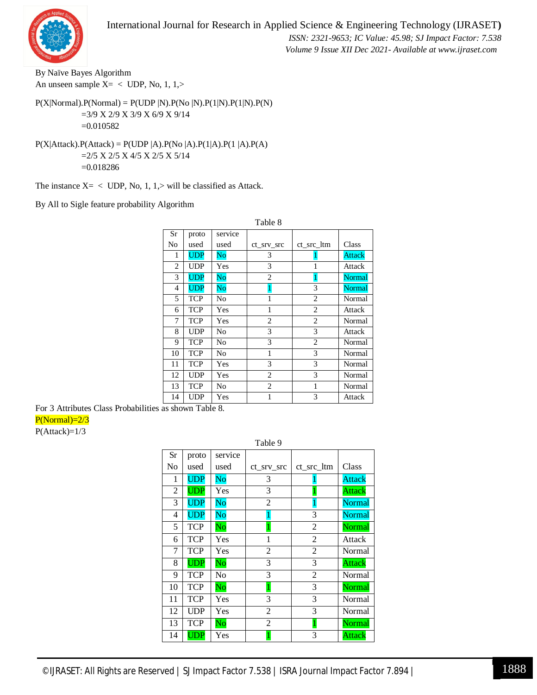

 *ISSN: 2321-9653; IC Value: 45.98; SJ Impact Factor: 7.538 Volume 9 Issue XII Dec 2021- Available at www.ijraset.com*

By Naïve Bayes Algorithm An unseen sample  $X = \langle$  UDP, No, 1, 1,>

 $P(X|Normal)$ . $P(Normal) = P(UDP | N)$ . $P(No | N)$ . $P(1|N)$ . $P(1|N)$ . $P(N)$  =3/9 X 2/9 X 3/9 X 6/9 X 9/14 =0.010582

P(X|Attack).P(Attack) = P(UDP |A).P(No |A).P(1|A).P(1 |A).P(A) =2/5 X 2/5 X 4/5 X 2/5 X 5/14 =0.018286

The instance  $X = \langle$  UDP, No, 1, 1,  $\rangle$  will be classified as Attack.

By All to Sigle feature probability Algorithm

|    |            |         | Table 8        |                |               |
|----|------------|---------|----------------|----------------|---------------|
| Sr | proto      | service |                |                |               |
| No | used       | used    | ct_srv_src     | ct_src_ltm     | Class         |
| 1  | <b>UDP</b> | No      | 3              |                | <b>Attack</b> |
| 2  | <b>UDP</b> | Yes     | 3              | 1              | Attack        |
| 3  | <b>UDP</b> | No      | $\overline{c}$ |                | Normal        |
| 4  | <b>UDP</b> | No      | 1              | 3              | <b>Normal</b> |
| 5  | <b>TCP</b> | No      | 1              | $\overline{2}$ | Normal        |
| 6  | <b>TCP</b> | Yes     | 1              | $\overline{c}$ | Attack        |
| 7  | <b>TCP</b> | Yes     | $\overline{c}$ | $\overline{c}$ | Normal        |
| 8  | <b>UDP</b> | No      | 3              | 3              | Attack        |
| 9  | <b>TCP</b> | No      | 3              | $\overline{2}$ | Normal        |
| 10 | <b>TCP</b> | No      | 1              | 3              | Normal        |
| 11 | <b>TCP</b> | Yes     | 3              | 3              | Normal        |
| 12 | <b>UDP</b> | Yes     | $\overline{c}$ | 3              | Normal        |
| 13 | <b>TCP</b> | No      | $\overline{c}$ | 1              | Normal        |
| 14 | <b>UDP</b> | Yes     | 1              | 3              | Attack        |

For 3 Attributes Class Probabilities as shown Table 8.

# $P(Normal)=2/3$

 $P(Attack)=1/3$ 

Table 9

|    |            |                        | ruore z        |                |               |
|----|------------|------------------------|----------------|----------------|---------------|
| Sr | proto      | service                |                |                |               |
| No | used       | used                   | ct srv src     | ct src ltm     | Class         |
| 1  | <b>UDP</b> | No                     | 3              |                | Attack        |
| 2  | UDP        | Yes                    | 3              |                | Attack        |
| 3  | <b>UDP</b> | No                     | 2              | 1              | Normal        |
| 4  | <b>UDP</b> | No                     | 1              | 3              | Normal        |
| 5  | <b>TCP</b> | $\mathbf{No}$          | 1              | 2              | Normal        |
| 6  | TCP        | Yes                    | 1              | 2              | Attack        |
| 7  | TCP        | Yes                    | 2              | $\overline{2}$ | Normal        |
| 8  | UDP        | $\mathbf{No}$          | 3              | 3              | Attack        |
| 9  | <b>TCP</b> | N <sub>0</sub>         | 3              | $\overline{2}$ | Normal        |
| 10 | TCP        | $\overline{\text{No}}$ | 1              | 3              | Normal        |
| 11 | <b>TCP</b> | Yes                    | 3              | 3              | Normal        |
| 12 | <b>UDP</b> | Yes                    | $\overline{c}$ | 3              | Normal        |
| 13 | <b>TCP</b> | $\mathbf{No}$          | 2              | 1              | <b>Normal</b> |
| 14 | JDP        | Yes                    |                | 3              | Attack        |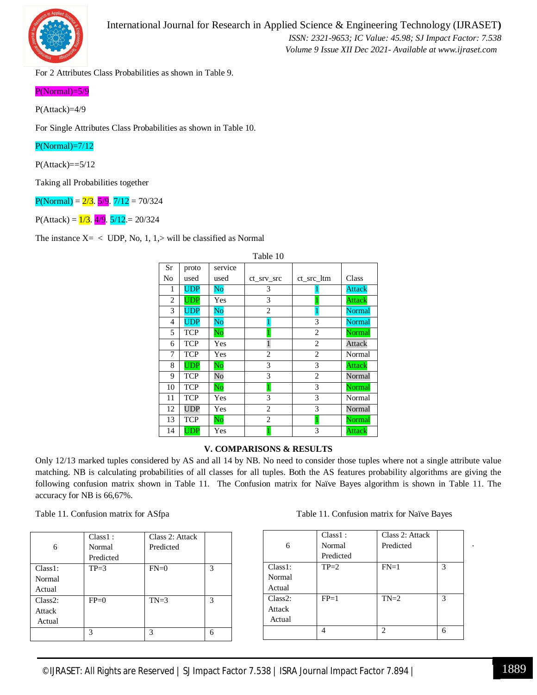

For 2 Attributes Class Probabilities as shown in Table 9.

# P(Normal)=5/9

P(Attack)=4/9

For Single Attributes Class Probabilities as shown in Table 10.

# P(Normal)=7/12

 $P(Attack)=5/12$ 

Taking all Probabilities together

 $P(Normal) = 2/3.5/9.7/12 = 70/324$ 

P(Attack) =  $\frac{1}{3}$ .  $\frac{4}{9}$ .  $\frac{5}{12}$ . = 20/324

The instance  $X = \langle$  UDP, No, 1, 1, will be classified as Normal

|    |                         |                        | Table 10       |                |        |
|----|-------------------------|------------------------|----------------|----------------|--------|
| Sr | proto                   | service                |                |                |        |
| No | used                    | used                   | ct_srv_src     | ct_src_ltm     | Class  |
| 1  | <b>UDP</b>              | $\overline{\text{No}}$ | 3              |                | Attack |
| 2  | $\overline{\text{UDP}}$ | Yes                    | 3              |                | Attack |
| 3  | <b>UDP</b>              | $\overline{\text{No}}$ | $\overline{c}$ | 1              | Normal |
| 4  | <b>UDP</b>              | No                     |                | 3              | Normal |
| 5  | <b>TCP</b>              | $\rm No$               |                | $\overline{c}$ | Normal |
| 6  | <b>TCP</b>              | Yes                    | 1              | $\overline{c}$ | Attack |
| 7  | <b>TCP</b>              | Yes                    | $\overline{c}$ | $\overline{c}$ | Normal |
| 8  | <b>UDP</b>              | $\mathbf{No}$          | 3              | 3              | Attack |
| 9  | <b>TCP</b>              | No                     | 3              | $\overline{c}$ | Normal |
| 10 | <b>TCP</b>              | $\mathbf{No}$          | 1              | 3              | Normal |
| 11 | <b>TCP</b>              | Yes                    | 3              | 3              | Normal |
| 12 | <b>UDP</b>              | Yes                    | $\overline{c}$ | 3              | Normal |
| 13 | <b>TCP</b>              | $\mathbf{No}$          | $\overline{c}$ | 1              | Normal |
| 14 | $\overline{\text{UDP}}$ | Yes                    |                | 3              | Attack |

# **V. COMPARISONS & RESULTS**

Only 12/13 marked tuples considered by AS and all 14 by NB. No need to consider those tuples where not a single attribute value matching. NB is calculating probabilities of all classes for all tuples. Both the AS features probability algorithms are giving the following confusion matrix shown in Table 11. The Confusion matrix for Naïve Bayes algorithm is shown in Table 11. The accuracy for NB is 66,67%.

Table 11. Confusion matrix for ASfpa

|            | $Class1$ : | Class 2: Attack |   |
|------------|------------|-----------------|---|
| 6          | Normal     | Predicted       |   |
|            | Predicted  |                 |   |
| Class 1:   | $TP=3$     | $FN=0$          | 3 |
| Normal     |            |                 |   |
| Actual     |            |                 |   |
| $Class2$ : | $FP=0$     | $TN=3$          | 3 |
| Attack     |            |                 |   |
| Actual     |            |                 |   |
|            | 3          | 3               | 6 |

|            | Class1:   | Class 2: Attack |   |
|------------|-----------|-----------------|---|
| 6          | Normal    | Predicted       |   |
|            | Predicted |                 |   |
| Class 1:   | $TP=2$    | $FN=1$          | 3 |
| Normal     |           |                 |   |
| Actual     |           |                 |   |
| $Class2$ : | $FP=1$    | $TN=2$          | 3 |
| Attack     |           |                 |   |
| Actual     |           |                 |   |
|            |           | っ               |   |
|            |           |                 |   |

.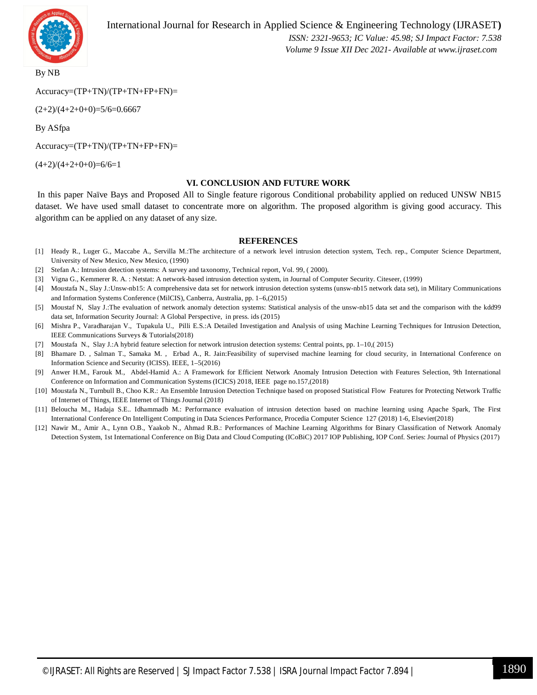

International Journal for Research in Applied Science & Engineering Technology (IJRASET**)**  *ISSN: 2321-9653; IC Value: 45.98; SJ Impact Factor: 7.538 Volume 9 Issue XII Dec 2021- Available at www.ijraset.com*

By NB

Accuracy=(TP+TN)/(TP+TN+FP+FN)=

 $(2+2)/(4+2+0+0)=5/6=0.6667$ 

By ASfpa

Accuracy=(TP+TN)/(TP+TN+FP+FN)=

 $(4+2)/(4+2+0+0)=6/6=1$ 

#### **VI. CONCLUSION AND FUTURE WORK**

In this paper Naïve Bays and Proposed All to Single feature rigorous Conditional probability applied on reduced UNSW NB15 dataset. We have used small dataset to concentrate more on algorithm. The proposed algorithm is giving good accuracy. This algorithm can be applied on any dataset of any size.

#### **REFERENCES**

- [1] Heady R., Luger G., Maccabe A., Servilla M.:The architecture of a network level intrusion detection system, Tech. rep., Computer Science Department, University of New Mexico, New Mexico, (1990)
- [2] Stefan A.: Intrusion detection systems: A survey and taxonomy, Technical report, Vol. 99, ( 2000).
- [3] Vigna G., Kemmerer R. A. : Netstat: A network-based intrusion detection system, in Journal of Computer Security. Citeseer, (1999)
- [4] Moustafa N., Slay J.:Unsw-nb15: A comprehensive data set for network intrusion detection systems (unsw-nb15 network data set), in Military Communications and Information Systems Conference (MilCIS), Canberra, Australia, pp. 1–6,(2015)
- [5] Moustaf N, Slay J.:The evaluation of network anomaly detection systems: Statistical analysis of the unsw-nb15 data set and the comparison with the kdd99 data set, Information Security Journal: A Global Perspective, in press. ids (2015)
- [6] Mishra P., Varadharajan V., Tupakula U., Pilli E.S.:A Detailed Investigation and Analysis of using Machine Learning Techniques for Intrusion Detection, IEEE Communications Surveys & Tutorials(2018)
- [7] Moustafa N., Slay J.:A hybrid feature selection for network intrusion detection systems: Central points, pp. 1–10,( 2015)
- [8] Bhamare D. , Salman T., Samaka M. , Erbad A., R. Jain:Feasibility of supervised machine learning for cloud security, in International Conference on Information Science and Security (ICISS). IEEE, 1–5(2016)
- [9] Anwer H.M., Farouk M., Abdel-Hamid A.: A Framework for Efficient Network Anomaly Intrusion Detection with Features Selection, 9th International Conference on Information and Communication Systems (ICICS) 2018, IEEE page no.157,(2018)
- [10] Moustafa N., Turnbull B., Choo K.R.: An Ensemble Intrusion Detection Technique based on proposed Statistical Flow Features for Protecting Network Traffic of Internet of Things, IEEE Internet of Things Journal (2018)
- [11] Beloucha M., Hadaja S.E.. Idhammadb M.: Performance evaluation of intrusion detection based on machine learning using Apache Spark, The First International Conference On Intelligent Computing in Data Sciences Performance, Procedia Computer Science 127 (2018) 1-6, Elsevier(2018)
- [12] Nawir M., Amir A., Lynn O.B., Yaakob N., Ahmad R.B.: Performances of Machine Learning Algorithms for Binary Classification of Network Anomaly Detection System, 1st International Conference on Big Data and Cloud Computing (ICoBiC) 2017 IOP Publishing, IOP Conf. Series: Journal of Physics (2017)